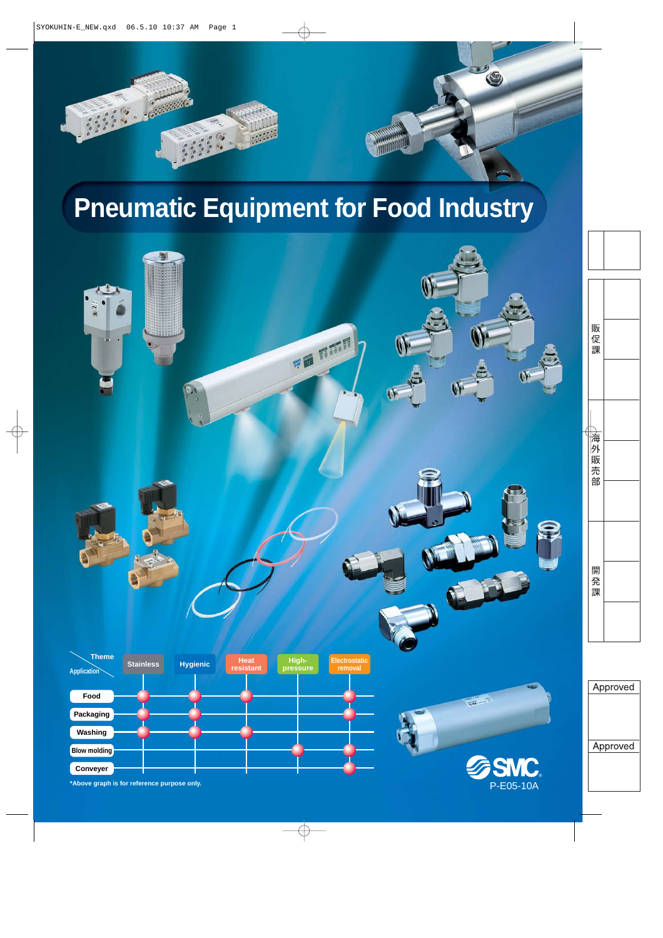

# **Pneumatic Equipment for Food Industry**

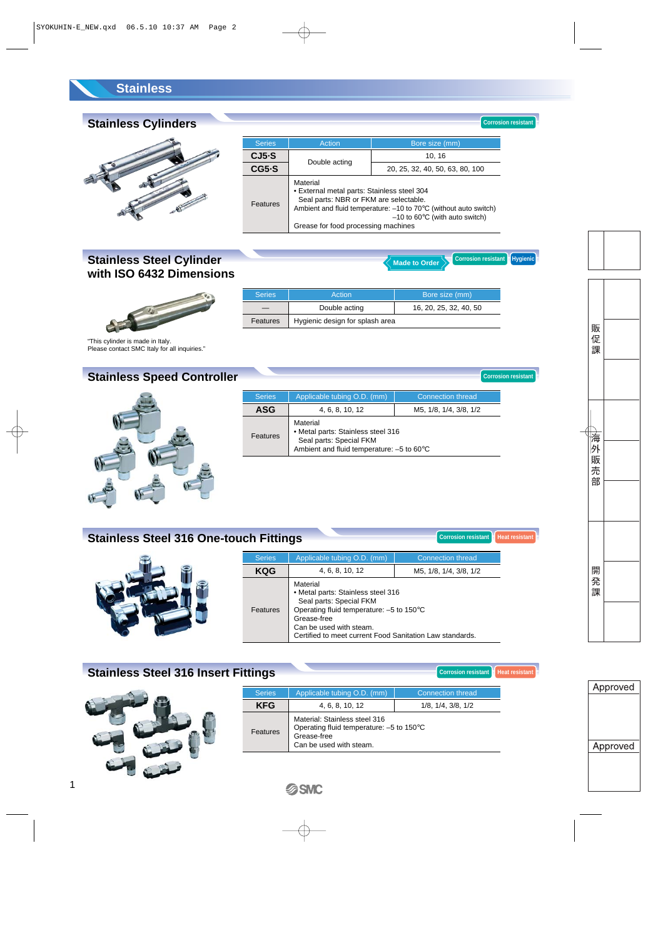#### **Stainless**

## **Stainless Cylinders**



| <b>Series</b> | Action                                                                                                                                                                                                                                                                 | Bore size (mm)                  |  |
|---------------|------------------------------------------------------------------------------------------------------------------------------------------------------------------------------------------------------------------------------------------------------------------------|---------------------------------|--|
| $CJ5-S$       |                                                                                                                                                                                                                                                                        | 10, 16                          |  |
| $CG5-S$       | Double acting                                                                                                                                                                                                                                                          | 20, 25, 32, 40, 50, 63, 80, 100 |  |
| Features      | Material<br>• External metal parts: Stainless steel 304<br>Seal parts: NBR or FKM are selectable.<br>Ambient and fluid temperature: $-10$ to $70^{\circ}$ C (without auto switch)<br>$-10$ to 60 $\degree$ C (with auto switch)<br>Grease for food processing machines |                                 |  |

#### **Stainless Steel Cylinder with ISO 6432 Dimensions**



| <b>Series</b> | Action                          | Bore size (mm)         |
|---------------|---------------------------------|------------------------|
|               | Double acting                   | 16, 20, 25, 32, 40, 50 |
| Features      | Hygienic design for splash area |                        |

"This cylinder is made in Italy. Please contact SMC Italy for all inquiries."

## **Stainless Speed Controller**



| <b>Series</b> | Applicable tubing O.D. (mm)                                                                                                        | <b>Connection thread</b> |
|---------------|------------------------------------------------------------------------------------------------------------------------------------|--------------------------|
| ASG           | 4, 6, 8, 10, 12                                                                                                                    | M5, 1/8, 1/4, 3/8, 1/2   |
| Features      | Material<br>• Metal parts: Stainless steel 316<br>Seal parts: Special FKM<br>Ambient and fluid temperature: $-5$ to 60 $\degree$ C |                          |

#### **Stainless Steel 316 One-touch Fittings**

| <b>Series</b> | Applicable tubing O.D. (mm)                                                                                                                                                                                                 | Connection thread      |  |
|---------------|-----------------------------------------------------------------------------------------------------------------------------------------------------------------------------------------------------------------------------|------------------------|--|
| KQG           | 4, 6, 8, 10, 12                                                                                                                                                                                                             | M5, 1/8, 1/4, 3/8, 1/2 |  |
| Features      | Material<br>• Metal parts: Stainless steel 316<br>Seal parts: Special FKM<br>Operating fluid temperature: -5 to 150°C<br>Grease-free<br>Can be used with steam.<br>Certified to meet current Food Sanitation Law standards. |                        |  |

## **Stainless Steel 316 Insert Fittings**



1

| <b>Series</b> | Applicable tubing O.D. (mm)                                                                                         | Connection thread |  |  |
|---------------|---------------------------------------------------------------------------------------------------------------------|-------------------|--|--|
| <b>KFG</b>    | 1/8, 1/4, 3/8, 1/2<br>4, 6, 8, 10, 12                                                                               |                   |  |  |
| Features      | Material: Stainless steel 316<br>Operating fluid temperature: -5 to 150°C<br>Grease-free<br>Can be used with steam. |                   |  |  |



**Corrosion resistant Heat resistant**

**Corrosion resistant Heat resistan** 

**Corrosion resistant**

**Corrosion resistant Hygienic** 

**Corrosion resistant**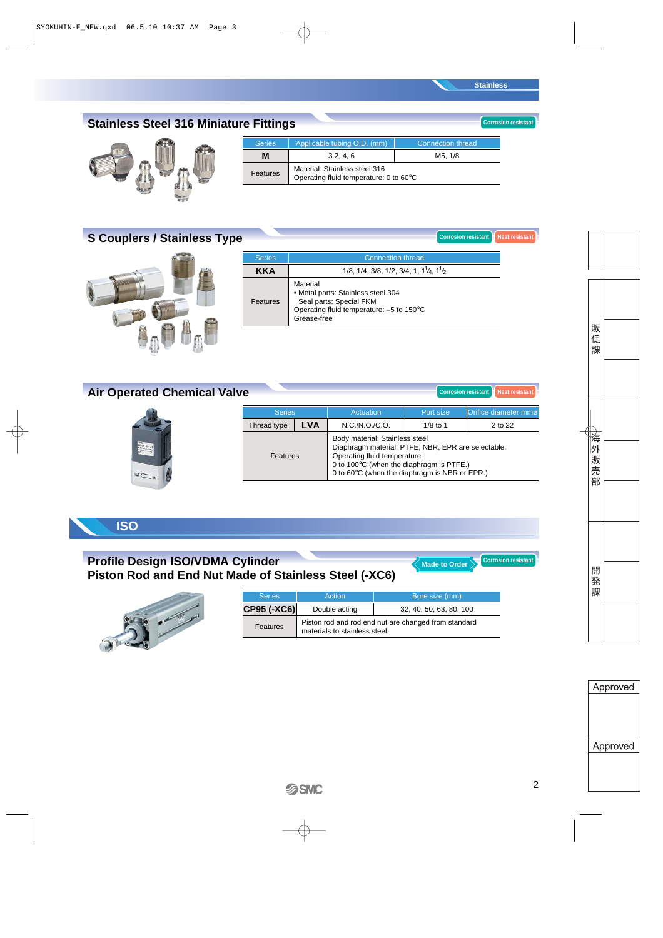**Corrosion resistant Heat resistant** 

**Corrosion resistan** 

## **Stainless Steel 316 Miniature Fittings**



| <b>Series</b> | Applicable tubing O.D. (mm)                                             | Connection thread |  |
|---------------|-------------------------------------------------------------------------|-------------------|--|
| м             | 3.2, 4.6                                                                | M5. 1/8           |  |
| Features      | Material: Stainless steel 316<br>Operating fluid temperature: 0 to 60°C |                   |  |

## **S Couplers / Stainless Type**



| <b>Series</b> | <b>Connection thread</b>                                                                                                             |
|---------------|--------------------------------------------------------------------------------------------------------------------------------------|
| <b>KKA</b>    | $1/8$ , $1/4$ , $3/8$ , $1/2$ , $3/4$ , $1$ , $11/4$ , $11/2$                                                                        |
| Features      | Material<br>• Metal parts: Stainless steel 304<br>Seal parts: Special FKM<br>Operating fluid temperature: -5 to 150°C<br>Grease-free |

| <b>Air Operated Chemical Valve</b>                                                                    |               |            |                                                                                                                      |            | Heat resistant<br>Corrosion resistant |
|-------------------------------------------------------------------------------------------------------|---------------|------------|----------------------------------------------------------------------------------------------------------------------|------------|---------------------------------------|
|                                                                                                       | <b>Series</b> |            | Actuation                                                                                                            | Port size  | Orifice diameter mmø                  |
|                                                                                                       | Thread type   | <b>LVA</b> | N.C./N.O./C.O.                                                                                                       | $1/8$ to 1 | 2 to 22                               |
| $\frac{\text{U}(\mathbf{z})}{\text{U}(\mathbf{z})} = \mathbf{z} \mathbf{z} = \mathbf{A}^{\mathsf{T}}$ | Features      |            | Body material: Stainless steel<br>Diaphragm material: PTFE, NBR, EPR are selectable.<br>Operating fluid temperature: |            |                                       |

## **ISO**

312

 $\overline{\phantom{a}}$ 

#### **Profile Design ISO/VDMA Cylinder Piston Rod and End Nut Made of Stainless Steel (-XC6)**



| <b>Series</b><br>Bore size (mm)<br>Action |                               |                                                      |  |  |
|-------------------------------------------|-------------------------------|------------------------------------------------------|--|--|
| <b>CP95 (-XC6)</b>                        | Double acting                 | 32, 40, 50, 63, 80, 100                              |  |  |
| Features                                  | materials to stainless steel. | Piston rod and rod end nut are changed from standard |  |  |

0 to 100°C (when the diaphragm is PTFE.) 0 to 60°C (when the diaphragm is NBR or EPR.)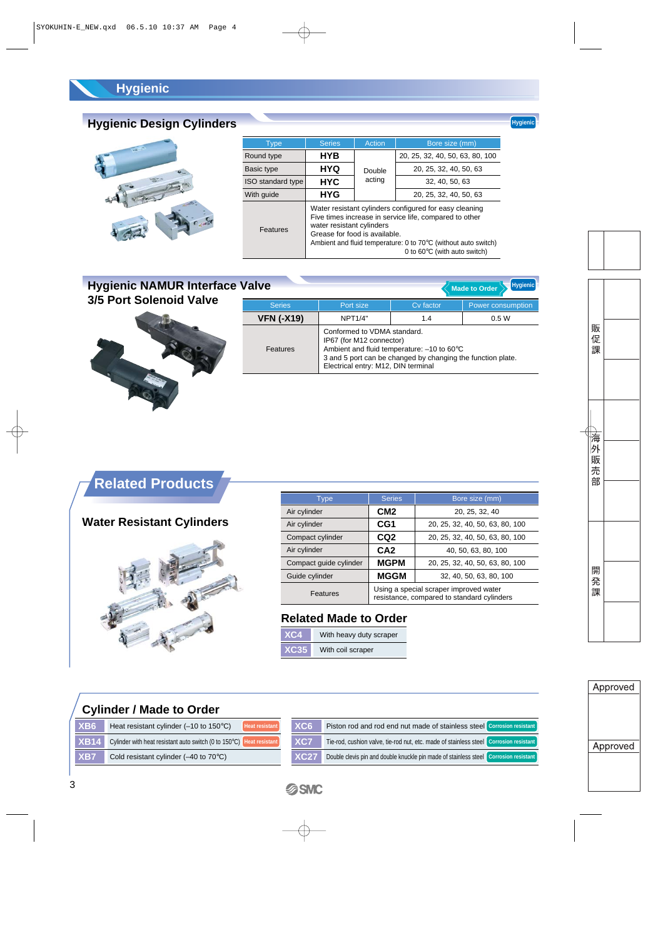## **Hygienic**

## **Hygienic Design Cylinders**



| Type              | <b>Series</b>             | Action                                                                                                                                                                                                                                                        | Bore size (mm)                  |  |
|-------------------|---------------------------|---------------------------------------------------------------------------------------------------------------------------------------------------------------------------------------------------------------------------------------------------------------|---------------------------------|--|
| Round type        | <b>HYB</b>                |                                                                                                                                                                                                                                                               | 20, 25, 32, 40, 50, 63, 80, 100 |  |
| Basic type        | <b>HYQ</b>                | Double                                                                                                                                                                                                                                                        | 20, 25, 32, 40, 50, 63          |  |
| ISO standard type | <b>HYC</b>                | acting                                                                                                                                                                                                                                                        | 32, 40, 50, 63                  |  |
| With guide        | <b>HYG</b>                |                                                                                                                                                                                                                                                               | 20, 25, 32, 40, 50, 63          |  |
| Features          | water resistant cylinders | Water resistant cylinders configured for easy cleaning<br>Five times increase in service life, compared to other<br>Grease for food is available.<br>Ambient and fluid temperature: 0 to 70°C (without auto switch)<br>0 to $60^{\circ}$ C (with auto switch) |                                 |  |

### **Hygienic NAMUR Interface Value 3/5 Port Solenoid Valve**



| alve              |                                                                                                | Hygienic<br><b>Made to Order</b>                                                                                      |                   |  |
|-------------------|------------------------------------------------------------------------------------------------|-----------------------------------------------------------------------------------------------------------------------|-------------------|--|
| <b>Series</b>     | Port size                                                                                      | Cv factor                                                                                                             | Power consumption |  |
| <b>VFN (-X19)</b> | <b>NPT1/4"</b>                                                                                 | 1.4                                                                                                                   | 0.5W              |  |
| <b>Features</b>   | Conformed to VDMA standard.<br>IP67 (for M12 connector)<br>Electrical entry: M12, DIN terminal | Ambient and fluid temperature: $-10$ to 60 $\degree$ C<br>3 and 5 port can be changed by changing the function plate. |                   |  |

## **Related Products**

## **Water Resistant Cylinders**



| Type                   | <b>Series</b>                                                                        | Bore size (mm)                  |  |
|------------------------|--------------------------------------------------------------------------------------|---------------------------------|--|
| Air cylinder           | CM <sub>2</sub>                                                                      | 20, 25, 32, 40                  |  |
| Air cylinder           | CG1                                                                                  | 20, 25, 32, 40, 50, 63, 80, 100 |  |
| Compact cylinder       | CQ <sub>2</sub><br>20, 25, 32, 40, 50, 63, 80, 100                                   |                                 |  |
| Air cylinder           | CA <sub>2</sub><br>40, 50, 63, 80, 100                                               |                                 |  |
| Compact guide cylinder | <b>MGPM</b><br>20, 25, 32, 40, 50, 63, 80, 100                                       |                                 |  |
| Guide cylinder         | <b>MGGM</b><br>32, 40, 50, 63, 80, 100                                               |                                 |  |
| Features               | Using a special scraper improved water<br>resistance, compared to standard cylinders |                                 |  |

#### **Related Made to Order**

| XC4         | With heavy duty scraper |  |
|-------------|-------------------------|--|
| <b>XC35</b> | With coil scraper       |  |

#### **Cylinder / Made to Order**

| XBB6'       | Heat resistant cylinder $(-10 \text{ to } 150^{\circ} \text{C})$<br><b>Heat resistant</b> | XCG        |
|-------------|-------------------------------------------------------------------------------------------|------------|
| <b>XB14</b> | Cylinder with heat resistant auto switch (0 to 150°C) Heat resistant                      | <b>XC7</b> |
| <b>XB7</b>  | Cold resistant cylinder $(-40 \text{ to } 70^{\circ} \text{C})$                           | XC2        |

| XC6         | Piston rod and rod end nut made of stainless steel Corrosion resistant                |  |
|-------------|---------------------------------------------------------------------------------------|--|
| XC7         | Tie-rod, cushion valve, tie-rod nut, etc. made of stainless steel Corrosion resistant |  |
| <b>XC27</b> | Double clevis pin and double knuckle pin made of stainless steel Corrosion resistant  |  |

#### **Hygienic**

**SSMC**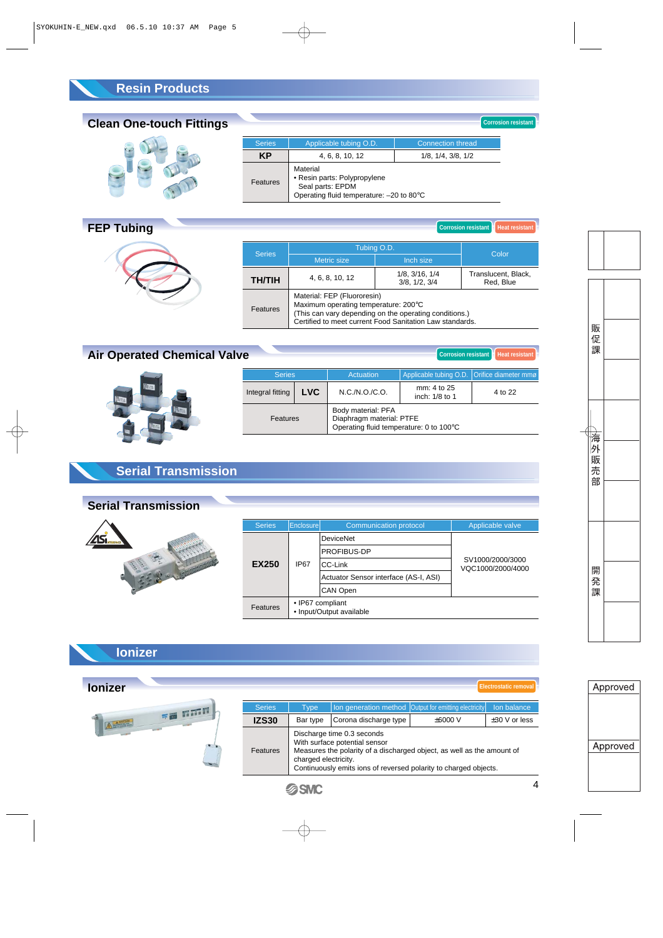## **Resin Products**

## **Clean One-touch Fittings**



| <b>Series</b>         | Applicable tubing O.D.                                                                                    | <b>Connection thread</b> |
|-----------------------|-----------------------------------------------------------------------------------------------------------|--------------------------|
| KP<br>4, 6, 8, 10, 12 |                                                                                                           | 1/8, 1/4, 3/8, 1/2       |
| Features              | Material<br>• Resin parts: Polypropylene<br>Seal parts: EPDM<br>Operating fluid temperature: - 20 to 80°C |                          |

## **FEP Tubing**



| <b>Corrosion resistant I</b><br><b>Heat resistant</b> |                                                                                                                                                                                           |                                 |                                  |  |  |
|-------------------------------------------------------|-------------------------------------------------------------------------------------------------------------------------------------------------------------------------------------------|---------------------------------|----------------------------------|--|--|
|                                                       | Tubing O.D.                                                                                                                                                                               |                                 |                                  |  |  |
| <b>Series</b>                                         | <b>Metric size</b>                                                                                                                                                                        | Inch size                       | Color                            |  |  |
| <b>TH/TIH</b>                                         | 4, 6, 8, 10, 12                                                                                                                                                                           | 1/8, 3/16, 1/4<br>3/8, 1/2, 3/4 | Translucent, Black,<br>Red, Blue |  |  |
| <b>Features</b>                                       | Material: FEP (Fluororesin)<br>Maximum operating temperature: 200°C<br>(This can vary depending on the operating conditions.)<br>Certified to meet current Food Sanitation Law standards. |                                 |                                  |  |  |

**Corrosion resistant**

## **Air Operated Chemical Valve**



| Corrosion resistant<br><b>Heat resistant</b><br>e/ |            |                                                                                           |                                             |         |
|----------------------------------------------------|------------|-------------------------------------------------------------------------------------------|---------------------------------------------|---------|
| <b>Series</b>                                      |            | Actuation                                                                                 | Applicable tubing O.D. Orifice diameter mmø |         |
| Integral fitting                                   | <b>LVC</b> | N.C./N.O./C.O.                                                                            | mm: 4 to 25<br>inch: 1/8 to 1               | 4 to 22 |
| Features                                           |            | Body material: PFA<br>Diaphragm material: PTFE<br>Operating fluid temperature: 0 to 100°C |                                             |         |

## **Serial Transmission**



| <b>Series</b>   | Enclosurel                                   | <b>Communication protocol</b>         | Applicable valve                      |  |
|-----------------|----------------------------------------------|---------------------------------------|---------------------------------------|--|
|                 |                                              | <b>DeviceNet</b>                      |                                       |  |
|                 |                                              | PROFIBUS-DP                           |                                       |  |
| <b>EX250</b>    | IP <sub>67</sub>                             | CC-Link                               | SV1000/2000/3000<br>VQC1000/2000/4000 |  |
|                 |                                              | Actuator Sensor interface (AS-I, ASI) |                                       |  |
|                 |                                              | <b>CAN Open</b>                       |                                       |  |
| <b>Features</b> | • IP67 compliant<br>• Input/Output available |                                       |                                       |  |

### **Ionizer**

| <b>lonizer</b> |               |                      |                                                                                                                                                                                                           |                                                              | Electrostatic removal |
|----------------|---------------|----------------------|-----------------------------------------------------------------------------------------------------------------------------------------------------------------------------------------------------------|--------------------------------------------------------------|-----------------------|
| 三面 百万百         | <b>Series</b> | Type                 |                                                                                                                                                                                                           | <b>Ion generation method Output for emitting electricity</b> | Ion balance           |
| A              | <b>IZS30</b>  | Bar type             | Corona discharge type                                                                                                                                                                                     | $\pm 6000$ V                                                 | $\pm 30$ V or less    |
|                | Features      | charged electricity. | Discharge time 0.3 seconds<br>With surface potential sensor<br>Measures the polarity of a discharged object, as well as the amount of<br>Continuously emits ions of reversed polarity to charged objects. |                                                              |                       |
|                |               |                      |                                                                                                                                                                                                           |                                                              |                       |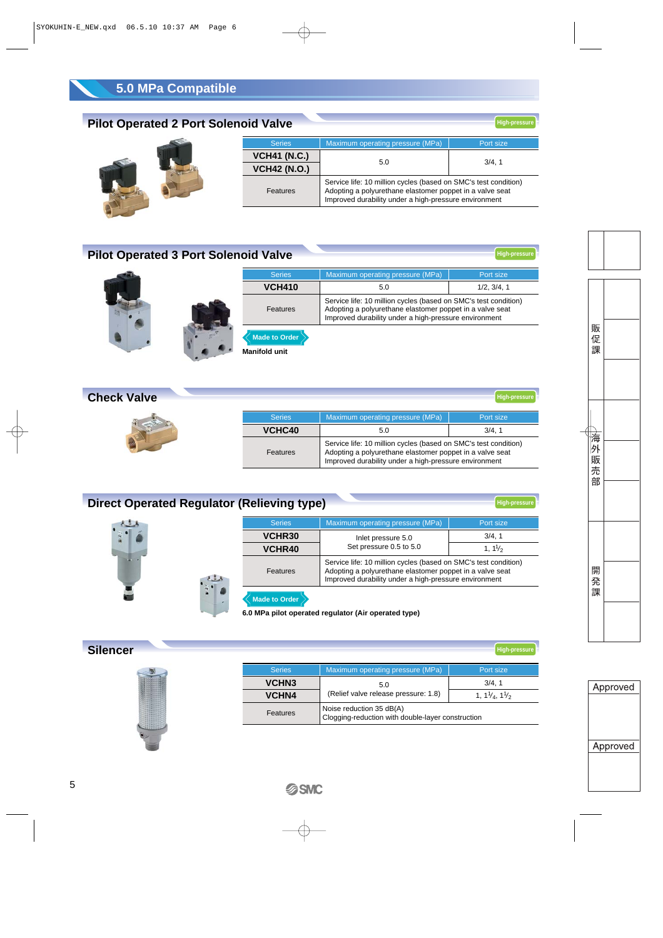## **5.0 MPa Compatible**

## **Pilot Operated 2 Port Solenoid Valve**



**High-press** 

**High-pressure**

## **Pilot Operated 3 Port Solenoid Valve**

|  | <b>Series</b>                                | Maximum operating pressure (MPa)                                                                                                                                                     | Port size   |  |
|--|----------------------------------------------|--------------------------------------------------------------------------------------------------------------------------------------------------------------------------------------|-------------|--|
|  | <b>VCH410</b>                                | 5.0                                                                                                                                                                                  | 1/2, 3/4, 1 |  |
|  | Features                                     | Service life: 10 million cycles (based on SMC's test condition)<br>Adopting a polyurethane elastomer poppet in a valve seat<br>Improved durability under a high-pressure environment |             |  |
|  | <b>Made to Order</b><br><b>Manifold unit</b> |                                                                                                                                                                                      |             |  |

#### **Check Valve** Maximum operating pressure (MPa) **Port size** 3/4, 1 Series **VCHC40** 5.0 Features Service life: 10 million cycles (based on SMC's test condition) Adopting a polyurethane elastomer poppet in a valve seat Improved durability under a high-pressure environment **High-pressure**

| <b>Direct Operated Regulator (Relieving type)</b> |        |                         |                                                                                                                                                                                      | <b>High-pressure</b> |
|---------------------------------------------------|--------|-------------------------|--------------------------------------------------------------------------------------------------------------------------------------------------------------------------------------|----------------------|
|                                                   |        | <b>Series</b>           | Maximum operating pressure (MPa)                                                                                                                                                     | Port size            |
| $\mathbf{r}$                                      |        | VCHR30                  | Inlet pressure 5.0                                                                                                                                                                   | 3/4, 1               |
|                                                   | VCHR40 | Set pressure 0.5 to 5.0 | $1, 1\frac{1}{2}$                                                                                                                                                                    |                      |
|                                                   |        | Features                | Service life: 10 million cycles (based on SMC's test condition)<br>Adopting a polyurethane elastomer poppet in a valve seat<br>Improved durability under a high-pressure environment |                      |
|                                                   |        | <b>Made to Order</b>    | 6.0 MPa pilot operated regulator (Air operated type)                                                                                                                                 |                      |
| <b>Silencer</b>                                   |        |                         |                                                                                                                                                                                      | <b>High-pressure</b> |



|               |                                                                               | .                                  |  |  |
|---------------|-------------------------------------------------------------------------------|------------------------------------|--|--|
| <b>Series</b> | Maximum operating pressure (MPa)                                              | Port size                          |  |  |
| <b>VCHN3</b>  | 5.0                                                                           | 3/4.1                              |  |  |
| <b>VCHN4</b>  | (Relief valve release pressure: 1.8)                                          | 1, $1\frac{1}{4}$ , $1\frac{1}{2}$ |  |  |
| Features      | Noise reduction 35 dB(A)<br>Clogging-reduction with double-layer construction |                                    |  |  |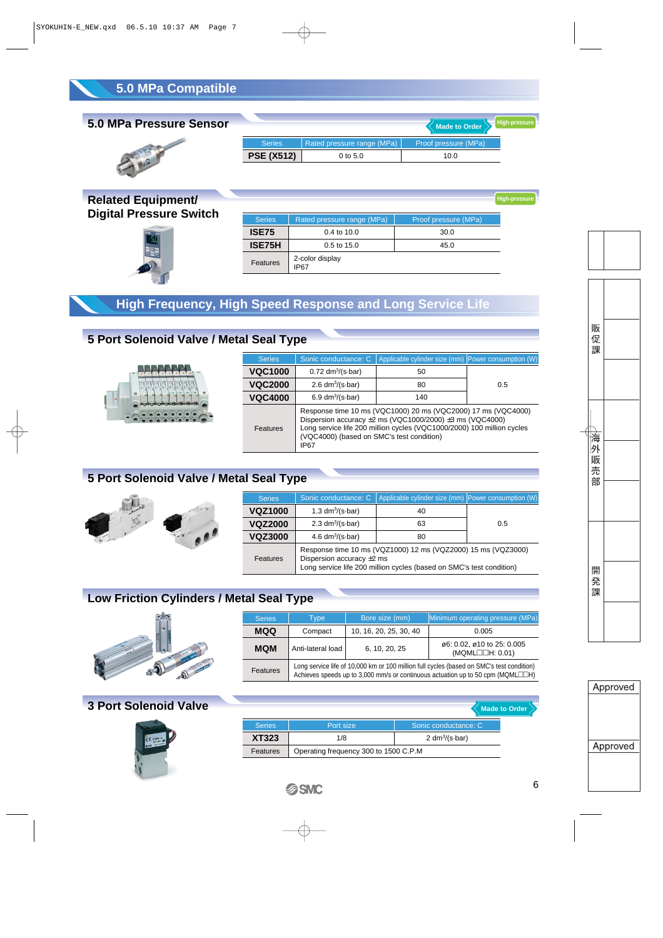### **5.0 MPa Pressure Sensor**



|                   |                             | Made to Order        | High-pressur |
|-------------------|-----------------------------|----------------------|--------------|
| <b>Series</b>     | Rated pressure range (MPa), | Proof pressure (MPa) |              |
| <b>PSE (X512)</b> | $0$ to 5.0                  | 10.0                 |              |

**Related Equipment/ Digital Pressure Switch** 



| <b>Series</b> | Rated pressure range (MPa)     | Proof pressure (MPa) |
|---------------|--------------------------------|----------------------|
| <b>ISE75</b>  | $0.4$ to $10.0$                | 30.0                 |
| <b>ISE75H</b> | $0.5$ to 15.0                  | 45.0                 |
| Features      | 2-color display<br><b>IP67</b> |                      |

### **High Frequency, High Speed Response and Long Service Life**

## **5 Port Solenoid Valve / Metal Seal Type**



| <b>Series</b>  | Sonic conductance: C                                                                                                                                                                                                                                               | Applicable cylinder size (mm) Power consumption (W) |     |
|----------------|--------------------------------------------------------------------------------------------------------------------------------------------------------------------------------------------------------------------------------------------------------------------|-----------------------------------------------------|-----|
| <b>VQC1000</b> | $0.72 \text{ dm}^3/\text{(s-bar)}$                                                                                                                                                                                                                                 | 50                                                  |     |
| <b>VQC2000</b> | 2.6 $dm^3/(s \cdot bar)$                                                                                                                                                                                                                                           | 80                                                  | 0.5 |
| <b>VQC4000</b> | 6.9 $dm^3/(s \cdot bar)$                                                                                                                                                                                                                                           | 140                                                 |     |
| Features       | Response time 10 ms (VQC1000) 20 ms (VQC2000) 17 ms (VQC4000)<br>Dispersion accuracy $\pm 2$ ms (VQC1000/2000) $\pm 3$ ms (VQC4000)<br>Long service life 200 million cycles (VQC1000/2000) 100 million cycles<br>(VQC4000) (based on SMC's test condition)<br>IP67 |                                                     |     |

## **5 Port Solenoid Valve / Metal Seal Type**



| <b>Series</b>  | Sonic conductance: C                                                                                                                                                    | Applicable cylinder size (mm) Power consumption (W) |     |
|----------------|-------------------------------------------------------------------------------------------------------------------------------------------------------------------------|-----------------------------------------------------|-----|
| <b>VQZ1000</b> | 1.3 $dm^3/(s \cdot bar)$                                                                                                                                                | 40                                                  |     |
| <b>VQZ2000</b> | 2.3 $dm^3/(s \cdot bar)$                                                                                                                                                | 63                                                  | 0.5 |
| <b>VQZ3000</b> | 4.6 $dm^3/(s \cdot bar)$                                                                                                                                                | 80                                                  |     |
| Features       | Response time 10 ms (VQZ1000) 12 ms (VQZ2000) 15 ms (VQZ3000)<br>Dispersion accuracy $\pm 2$ ms<br>Long service life 200 million cycles (based on SMC's test condition) |                                                     |     |

## **Low Friction Cylinders / Metal Seal Type**



| <b>Series</b> | Type                                                                                                                                                                         | Bore size (mm)         | Minimum operating pressure (MPa)                         |
|---------------|------------------------------------------------------------------------------------------------------------------------------------------------------------------------------|------------------------|----------------------------------------------------------|
| <b>MQQ</b>    | Compact                                                                                                                                                                      | 10, 16, 20, 25, 30, 40 | 0.005                                                    |
| <b>MQM</b>    | Anti-lateral load                                                                                                                                                            | 6, 10, 20, 25          | ø6: 0.02, ø10 to 25: 0.005<br>$(MQML \Box \Box H: 0.01)$ |
| Features      | Long service life of 10,000 km or 100 million full cycles (based on SMC's test condition)<br>Achieves speeds up to 3,000 mm/s or continuous actuation up to 50 cpm (MQML□□H) |                        |                                                          |

## **3 Port Solenoid Valve**



|               |                                       | $\leq$ Made to Order   |
|---------------|---------------------------------------|------------------------|
| <b>Series</b> | Port size                             | Sonic conductance: C   |
| XT323         | 1/8                                   | 2 $dm^3/(s \cdot bar)$ |
| Features      | Operating frequency 300 to 1500 C.P.M |                        |



**High-pressure**